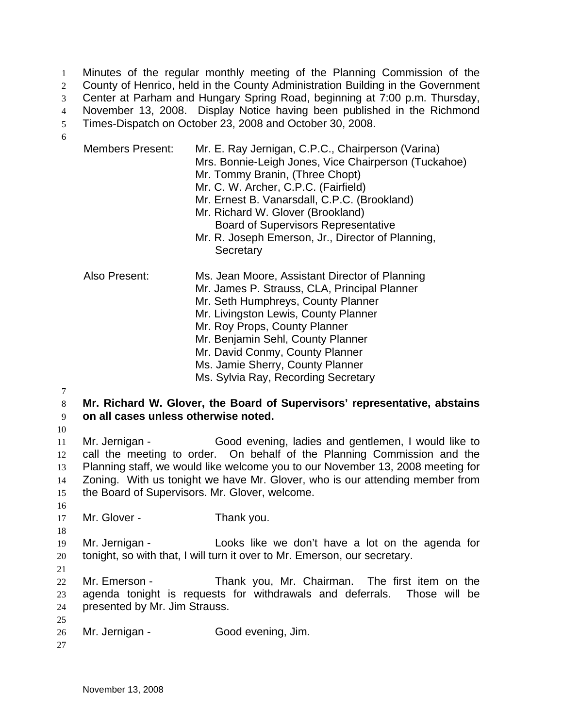Minutes of the regular monthly meeting of the Planning Commission of the County of Henrico, held in the County Administration Building in the Government Center at Parham and Hungary Spring Road, beginning at 7:00 p.m. Thursday, November 13, 2008. Display Notice having been published in the Richmond Times-Dispatch on October 23, 2008 and October 30, 2008. 1 2 3 4 5 6

|                            | <b>Members Present:</b>                                                                                                                                                                                                                                                                                                                                              | Mr. E. Ray Jernigan, C.P.C., Chairperson (Varina)<br>Mrs. Bonnie-Leigh Jones, Vice Chairperson (Tuckahoe)<br>Mr. Tommy Branin, (Three Chopt)<br>Mr. C. W. Archer, C.P.C. (Fairfield)<br>Mr. Ernest B. Vanarsdall, C.P.C. (Brookland)<br>Mr. Richard W. Glover (Brookland)<br><b>Board of Supervisors Representative</b><br>Mr. R. Joseph Emerson, Jr., Director of Planning,<br>Secretary |  |
|----------------------------|----------------------------------------------------------------------------------------------------------------------------------------------------------------------------------------------------------------------------------------------------------------------------------------------------------------------------------------------------------------------|-------------------------------------------------------------------------------------------------------------------------------------------------------------------------------------------------------------------------------------------------------------------------------------------------------------------------------------------------------------------------------------------|--|
|                            | Also Present:                                                                                                                                                                                                                                                                                                                                                        | Ms. Jean Moore, Assistant Director of Planning<br>Mr. James P. Strauss, CLA, Principal Planner<br>Mr. Seth Humphreys, County Planner<br>Mr. Livingston Lewis, County Planner<br>Mr. Roy Props, County Planner<br>Mr. Benjamin Sehl, County Planner<br>Mr. David Conmy, County Planner<br>Ms. Jamie Sherry, County Planner<br>Ms. Sylvia Ray, Recording Secretary                          |  |
| 7<br>8<br>9<br>10          | Mr. Richard W. Glover, the Board of Supervisors' representative, abstains<br>on all cases unless otherwise noted.                                                                                                                                                                                                                                                    |                                                                                                                                                                                                                                                                                                                                                                                           |  |
| 11<br>12<br>13<br>14<br>15 | Mr. Jernigan -<br>Good evening, ladies and gentlemen, I would like to<br>call the meeting to order. On behalf of the Planning Commission and the<br>Planning staff, we would like welcome you to our November 13, 2008 meeting for<br>Zoning. With us tonight we have Mr. Glover, who is our attending member from<br>the Board of Supervisors. Mr. Glover, welcome. |                                                                                                                                                                                                                                                                                                                                                                                           |  |
| 16<br>17<br>18             | Mr. Glover -                                                                                                                                                                                                                                                                                                                                                         | Thank you.                                                                                                                                                                                                                                                                                                                                                                                |  |
| 19<br>20                   | Mr. Jernigan -                                                                                                                                                                                                                                                                                                                                                       | Looks like we don't have a lot on the agenda for<br>tonight, so with that, I will turn it over to Mr. Emerson, our secretary.                                                                                                                                                                                                                                                             |  |

22 23 24 Mr. Emerson - Thank you, Mr. Chairman. The first item on the agenda tonight is requests for withdrawals and deferrals. Those will be presented by Mr. Jim Strauss.

- 26 Mr. Jernigan - Good evening, Jim.
- 27

25

21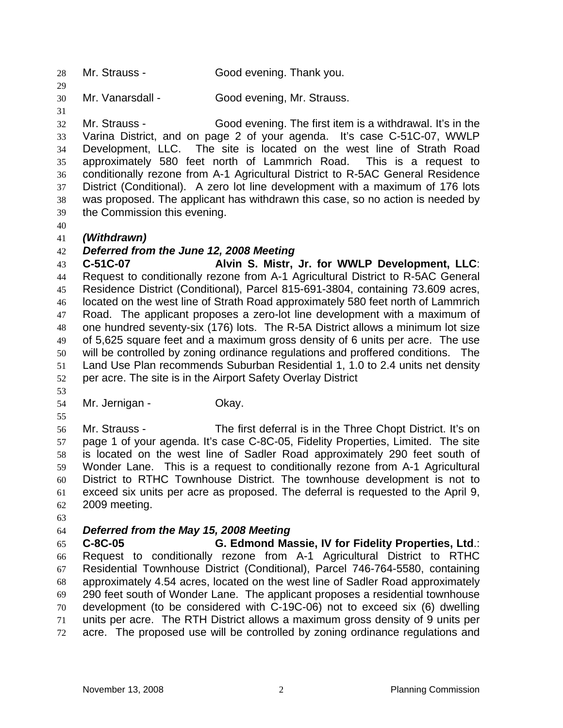28 Mr. Strauss - Good evening. Thank you.

30 Mr. Vanarsdall - Good evening, Mr. Strauss.

32 33 34 35 36 37 38 39 Mr. Strauss - Good evening. The first item is a withdrawal. It's in the Varina District, and on page 2 of your agenda. It's case C-51C-07, WWLP Development, LLC. The site is located on the west line of Strath Road approximately 580 feet north of Lammrich Road. This is a request to conditionally rezone from A-1 Agricultural District to R-5AC General Residence District (Conditional). A zero lot line development with a maximum of 176 lots was proposed. The applicant has withdrawn this case, so no action is needed by the Commission this evening.

40

29

31

## 41 *(Withdrawn)*

## 42 *Deferred from the June 12, 2008 Meeting*

43 44 45 46 47 48 49 50 51 52 **C-51C-07 Alvin S. Mistr, Jr. for WWLP Development, LLC**: Request to conditionally rezone from A-1 Agricultural District to R-5AC General Residence District (Conditional), Parcel 815-691-3804, containing 73.609 acres, located on the west line of Strath Road approximately 580 feet north of Lammrich Road. The applicant proposes a zero-lot line development with a maximum of one hundred seventy-six (176) lots. The R-5A District allows a minimum lot size of 5,625 square feet and a maximum gross density of 6 units per acre. The use will be controlled by zoning ordinance regulations and proffered conditions. The Land Use Plan recommends Suburban Residential 1, 1.0 to 2.4 units net density per acre. The site is in the Airport Safety Overlay District

53

54 Mr. Jernigan - **Okay.** 

55

56 57 58 59 60 61 62 Mr. Strauss - The first deferral is in the Three Chopt District. It's on page 1 of your agenda. It's case C-8C-05, Fidelity Properties, Limited. The site is located on the west line of Sadler Road approximately 290 feet south of Wonder Lane. This is a request to conditionally rezone from A-1 Agricultural District to RTHC Townhouse District. The townhouse development is not to exceed six units per acre as proposed. The deferral is requested to the April 9, 2009 meeting.

63

## 64 *Deferred from the May 15, 2008 Meeting*

65 66 67 68 69 70 71 72 **C-8C-05 G. Edmond Massie, IV for Fidelity Properties, Ltd**.: Request to conditionally rezone from A-1 Agricultural District to RTHC Residential Townhouse District (Conditional), Parcel 746-764-5580, containing approximately 4.54 acres, located on the west line of Sadler Road approximately 290 feet south of Wonder Lane. The applicant proposes a residential townhouse development (to be considered with C-19C-06) not to exceed six (6) dwelling units per acre. The RTH District allows a maximum gross density of 9 units per acre. The proposed use will be controlled by zoning ordinance regulations and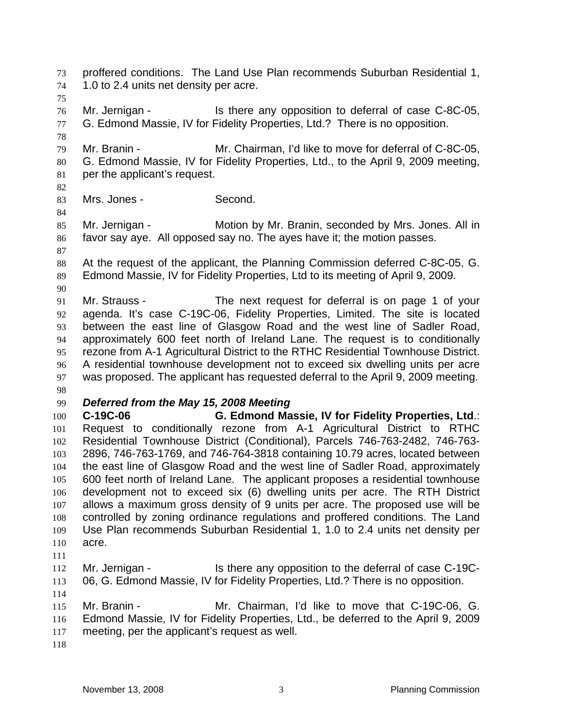proffered conditions. The Land Use Plan recommends Suburban Residential 1, 1.0 to 2.4 units net density per acre. 73 74 75 76 77 78 79 80 81 82 83 84 85 86 87 88 89 90 91 92 93 94 95 96 97 98 99 100 101 102 103 104 105 106 107 108 109 110 111 112 113 114 115 116 117 118 Mr. Jernigan - The Is there any opposition to deferral of case C-8C-05, G. Edmond Massie, IV for Fidelity Properties, Ltd.? There is no opposition. Mr. Branin - Mr. Chairman, I'd like to move for deferral of C-8C-05, G. Edmond Massie, IV for Fidelity Properties, Ltd., to the April 9, 2009 meeting, per the applicant's request. Mrs. Jones - Second. Mr. Jernigan - Motion by Mr. Branin, seconded by Mrs. Jones. All in favor say aye. All opposed say no. The ayes have it; the motion passes. At the request of the applicant, the Planning Commission deferred C-8C-05, G. Edmond Massie, IV for Fidelity Properties, Ltd to its meeting of April 9, 2009. Mr. Strauss - The next request for deferral is on page 1 of your agenda. It's case C-19C-06, Fidelity Properties, Limited. The site is located between the east line of Glasgow Road and the west line of Sadler Road, approximately 600 feet north of Ireland Lane. The request is to conditionally rezone from A-1 Agricultural District to the RTHC Residential Townhouse District. A residential townhouse development not to exceed six dwelling units per acre was proposed. The applicant has requested deferral to the April 9, 2009 meeting. *Deferred from the May 15, 2008 Meeting*  **C-19C-06 G. Edmond Massie, IV for Fidelity Properties, Ltd**.: Request to conditionally rezone from A-1 Agricultural District to RTHC Residential Townhouse District (Conditional), Parcels 746-763-2482, 746-763- 2896, 746-763-1769, and 746-764-3818 containing 10.79 acres, located between the east line of Glasgow Road and the west line of Sadler Road, approximately 600 feet north of Ireland Lane. The applicant proposes a residential townhouse development not to exceed six (6) dwelling units per acre. The RTH District allows a maximum gross density of 9 units per acre. The proposed use will be controlled by zoning ordinance regulations and proffered conditions. The Land Use Plan recommends Suburban Residential 1, 1.0 to 2.4 units net density per acre. Mr. Jernigan - The Is there any opposition to the deferral of case C-19C-06, G. Edmond Massie, IV for Fidelity Properties, Ltd.? There is no opposition. Mr. Branin - Mr. Chairman, I'd like to move that C-19C-06, G. Edmond Massie, IV for Fidelity Properties, Ltd., be deferred to the April 9, 2009 meeting, per the applicant's request as well.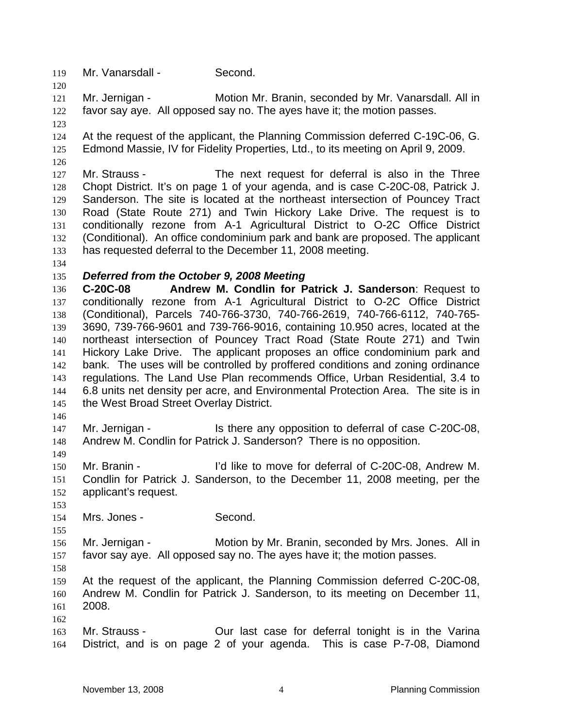119 Mr. Vanarsdall - Second.

121 122 Mr. Jernigan - Motion Mr. Branin, seconded by Mr. Vanarsdall. All in favor say aye. All opposed say no. The ayes have it; the motion passes.

123

120

124 125 At the request of the applicant, the Planning Commission deferred C-19C-06, G. Edmond Massie, IV for Fidelity Properties, Ltd., to its meeting on April 9, 2009.

126

127 128 129 130 131 132 133 Mr. Strauss - The next request for deferral is also in the Three Chopt District. It's on page 1 of your agenda, and is case C-20C-08, Patrick J. Sanderson. The site is located at the northeast intersection of Pouncey Tract Road (State Route 271) and Twin Hickory Lake Drive. The request is to conditionally rezone from A-1 Agricultural District to O-2C Office District (Conditional). An office condominium park and bank are proposed. The applicant has requested deferral to the December 11, 2008 meeting.

134

#### 135 *Deferred from the October 9, 2008 Meeting*

136 137 138 139 140 141 142 143 144 145 **C-20C-08 Andrew M. Condlin for Patrick J. Sanderson**: Request to conditionally rezone from A-1 Agricultural District to O-2C Office District (Conditional), Parcels 740-766-3730, 740-766-2619, 740-766-6112, 740-765- 3690, 739-766-9601 and 739-766-9016, containing 10.950 acres, located at the northeast intersection of Pouncey Tract Road (State Route 271) and Twin Hickory Lake Drive. The applicant proposes an office condominium park and bank. The uses will be controlled by proffered conditions and zoning ordinance regulations. The Land Use Plan recommends Office, Urban Residential, 3.4 to 6.8 units net density per acre, and Environmental Protection Area. The site is in the West Broad Street Overlay District.

146

149

147 148 Mr. Jernigan - The Is there any opposition to deferral of case C-20C-08, Andrew M. Condlin for Patrick J. Sanderson? There is no opposition.

150 151 152 Mr. Branin - The light of the to move for deferral of C-20C-08, Andrew M. Condlin for Patrick J. Sanderson, to the December 11, 2008 meeting, per the applicant's request.

153 154

Mrs. Jones - Second.

155

156 157 Mr. Jernigan - Motion by Mr. Branin, seconded by Mrs. Jones. All in favor say aye. All opposed say no. The ayes have it; the motion passes.

158

162

159 160 161 At the request of the applicant, the Planning Commission deferred C-20C-08, Andrew M. Condlin for Patrick J. Sanderson, to its meeting on December 11, 2008.

163 164 Mr. Strauss - **Our last case for deferral tonight is in the Varina** District, and is on page 2 of your agenda. This is case P-7-08, Diamond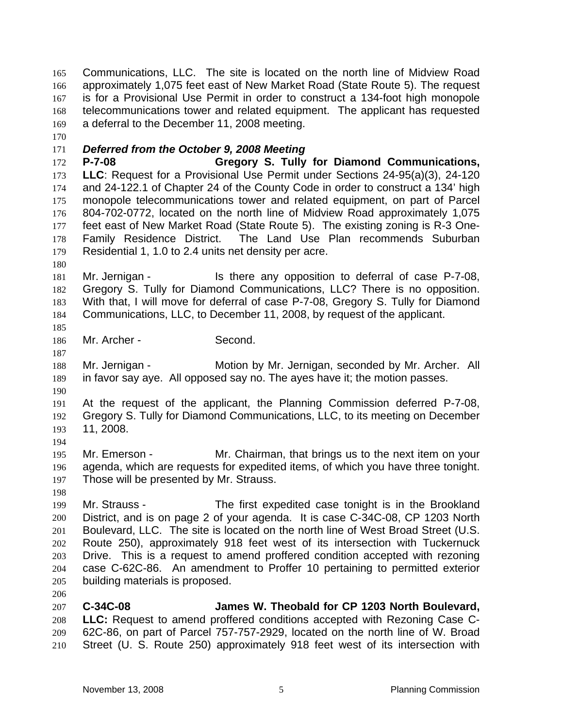Communications, LLC. The site is located on the north line of Midview Road approximately 1,075 feet east of New Market Road (State Route 5). The request is for a Provisional Use Permit in order to construct a 134-foot high monopole telecommunications tower and related equipment. The applicant has requested a deferral to the December 11, 2008 meeting. 165 166 167 168 169

170

# 171 *Deferred from the October 9, 2008 Meeting*

172 173 174 175 176 177 178 179 **P-7-08 Gregory S. Tully for Diamond Communications, LLC**: Request for a Provisional Use Permit under Sections 24-95(a)(3), 24-120 and 24-122.1 of Chapter 24 of the County Code in order to construct a 134' high monopole telecommunications tower and related equipment, on part of Parcel 804-702-0772, located on the north line of Midview Road approximately 1,075 feet east of New Market Road (State Route 5). The existing zoning is R-3 One-Family Residence District. The Land Use Plan recommends Suburban Residential 1, 1.0 to 2.4 units net density per acre.

180

181 182 183 184 Mr. Jernigan - The Is there any opposition to deferral of case P-7-08, Gregory S. Tully for Diamond Communications, LLC? There is no opposition. With that, I will move for deferral of case P-7-08, Gregory S. Tully for Diamond Communications, LLC, to December 11, 2008, by request of the applicant.

185

187

186 Mr. Archer - Second.

188 189 Mr. Jernigan - Motion by Mr. Jernigan, seconded by Mr. Archer. All in favor say aye. All opposed say no. The ayes have it; the motion passes.

190

191 192 193 At the request of the applicant, the Planning Commission deferred P-7-08, Gregory S. Tully for Diamond Communications, LLC, to its meeting on December 11, 2008.

194

195 196 197 Mr. Emerson - The Mr. Chairman, that brings us to the next item on your agenda, which are requests for expedited items, of which you have three tonight. Those will be presented by Mr. Strauss.

198

206

199 200 201 202 203 204 205 Mr. Strauss - The first expedited case tonight is in the Brookland District, and is on page 2 of your agenda. It is case C-34C-08, CP 1203 North Boulevard, LLC. The site is located on the north line of West Broad Street (U.S. Route 250), approximately 918 feet west of its intersection with Tuckernuck Drive. This is a request to amend proffered condition accepted with rezoning case C-62C-86. An amendment to Proffer 10 pertaining to permitted exterior building materials is proposed.

207 208 209 210 **C-34C-08 James W. Theobald for CP 1203 North Boulevard, LLC:** Request to amend proffered conditions accepted with Rezoning Case C-62C-86, on part of Parcel 757-757-2929, located on the north line of W. Broad Street (U. S. Route 250) approximately 918 feet west of its intersection with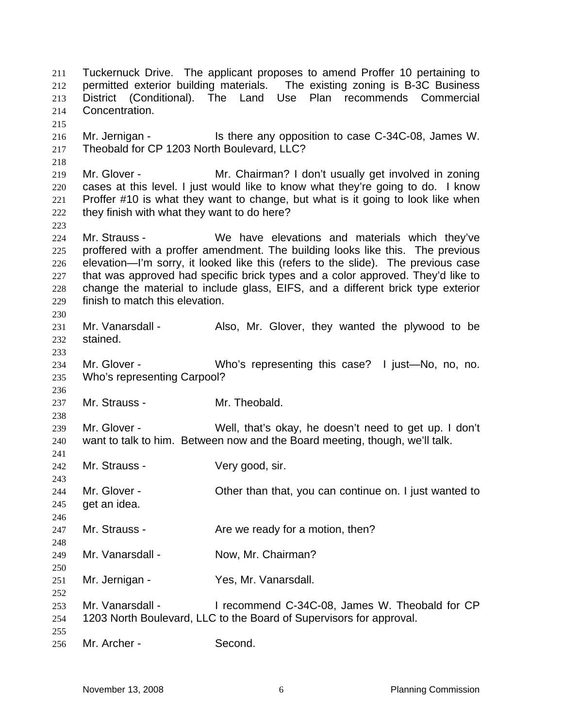Tuckernuck Drive. The applicant proposes to amend Proffer 10 pertaining to permitted exterior building materials. The existing zoning is B-3C Business District (Conditional). The Land Use Plan recommends Commercial Concentration. 211 212 213 214 215 216 217 218 219 220 221 222 223 224 225 226 227 228 229 230 231 232 233 234 235 236 237 238 239 240 241 242 243 244 245 246 247 248 249 250 251 252 253 254 255 256 Mr. Jernigan - Is there any opposition to case C-34C-08, James W. Theobald for CP 1203 North Boulevard, LLC? Mr. Glover - Mr. Chairman? I don't usually get involved in zoning cases at this level. I just would like to know what they're going to do. I know Proffer #10 is what they want to change, but what is it going to look like when they finish with what they want to do here? Mr. Strauss - We have elevations and materials which they've proffered with a proffer amendment. The building looks like this. The previous elevation—I'm sorry, it looked like this (refers to the slide). The previous case that was approved had specific brick types and a color approved. They'd like to change the material to include glass, EIFS, and a different brick type exterior finish to match this elevation. Mr. Vanarsdall - Also, Mr. Glover, they wanted the plywood to be stained. Mr. Glover - Who's representing this case? I just—No, no, no. Who's representing Carpool? Mr. Strauss - Mr. Theobald. Mr. Glover - Well, that's okay, he doesn't need to get up. I don't want to talk to him. Between now and the Board meeting, though, we'll talk. Mr. Strauss - Very good, sir. Mr. Glover - Cher than that, you can continue on. I just wanted to get an idea. Mr. Strauss - The Mare we ready for a motion, then? Mr. Vanarsdall - Now, Mr. Chairman? Mr. Jernigan - Yes, Mr. Vanarsdall. Mr. Vanarsdall - I recommend C-34C-08, James W. Theobald for CP 1203 North Boulevard, LLC to the Board of Supervisors for approval. Mr. Archer - Second.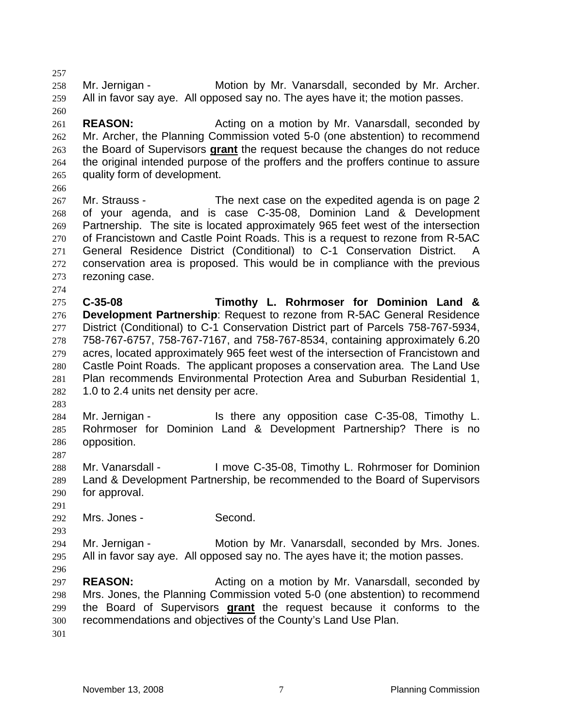257 258 259 260 261 262 Mr. Jernigan - **Motion by Mr. Vanarsdall, seconded by Mr. Archer.** All in favor say aye. All opposed say no. The ayes have it; the motion passes. **REASON: Acting on a motion by Mr. Vanarsdall, seconded by REASON:** Mr. Archer, the Planning Commission voted 5-0 (one abstention) to recommend the Board of Supervisors **grant** the request because the changes do not reduce the original intended purpose of the proffers and the proffers continue to assure quality form of development. 263 264 265 266 267 268 269 270 271 272 273 274 275 276 277 278 279 280 281 282 283 284 285 286 287 288 289 290 291 292 293 294 295 296 297 298 Mr. Strauss - The next case on the expedited agenda is on page 2 of your agenda, and is case C-35-08, Dominion Land & Development Partnership. The site is located approximately 965 feet west of the intersection of Francistown and Castle Point Roads. This is a request to rezone from R-5AC General Residence District (Conditional) to C-1 Conservation District. A conservation area is proposed. This would be in compliance with the previous rezoning case. **C-35-08 Timothy L. Rohrmoser for Dominion Land & Development Partnership**: Request to rezone from R-5AC General Residence District (Conditional) to C-1 Conservation District part of Parcels 758-767-5934, 758-767-6757, 758-767-7167, and 758-767-8534, containing approximately 6.20 acres, located approximately 965 feet west of the intersection of Francistown and Castle Point Roads. The applicant proposes a conservation area. The Land Use Plan recommends Environmental Protection Area and Suburban Residential 1, 1.0 to 2.4 units net density per acre. Mr. Jernigan - Is there any opposition case C-35-08, Timothy L. Rohrmoser for Dominion Land & Development Partnership? There is no opposition. Mr. Vanarsdall - I move C-35-08, Timothy L. Rohrmoser for Dominion Land & Development Partnership, be recommended to the Board of Supervisors for approval. Mrs. Jones - Second. Mr. Jernigan - Motion by Mr. Vanarsdall, seconded by Mrs. Jones. All in favor say aye. All opposed say no. The ayes have it; the motion passes. **REASON:** Acting on a motion by Mr. Vanarsdall, seconded by Mrs. Jones, the Planning Commission voted 5-0 (one abstention) to recommend the Board of Supervisors **grant** the request because it conforms to the recommendations and objectives of the County's Land Use Plan. 299 300 301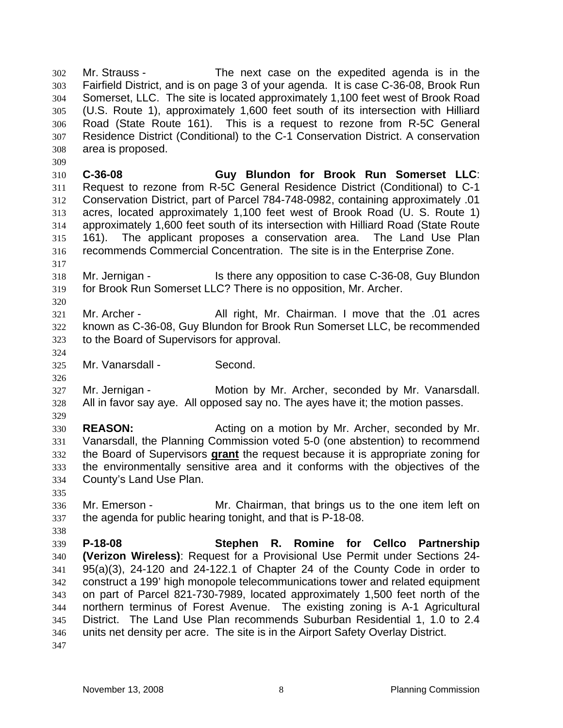Mr. Strauss - The next case on the expedited agenda is in the Fairfield District, and is on page 3 of your agenda. It is case C-36-08, Brook Run Somerset, LLC. The site is located approximately 1,100 feet west of Brook Road (U.S. Route 1), approximately 1,600 feet south of its intersection with Hilliard Road (State Route 161). This is a request to rezone from R-5C General Residence District (Conditional) to the C-1 Conservation District. A conservation area is proposed. 302 303 304 305 306 307 308

310 311 312 313 314 315 316 **C-36-08 Guy Blundon for Brook Run Somerset LLC**: Request to rezone from R-5C General Residence District (Conditional) to C-1 Conservation District, part of Parcel 784-748-0982, containing approximately .01 acres, located approximately 1,100 feet west of Brook Road (U. S. Route 1) approximately 1,600 feet south of its intersection with Hilliard Road (State Route 161). The applicant proposes a conservation area. The Land Use Plan recommends Commercial Concentration. The site is in the Enterprise Zone.

318 319 Mr. Jernigan - The Is there any opposition to case C-36-08, Guy Blundon for Brook Run Somerset LLC? There is no opposition, Mr. Archer.

321 322 323 Mr. Archer - All right, Mr. Chairman. I move that the .01 acres known as C-36-08, Guy Blundon for Brook Run Somerset LLC, be recommended to the Board of Supervisors for approval.

325 Mr. Vanarsdall - Second.

327 328 329 Mr. Jernigan - Motion by Mr. Archer, seconded by Mr. Vanarsdall. All in favor say aye. All opposed say no. The ayes have it; the motion passes.

330 331 **REASON: Acting on a motion by Mr. Archer, seconded by Mr.** Vanarsdall, the Planning Commission voted 5-0 (one abstention) to recommend the Board of Supervisors **grant** the request because it is appropriate zoning for the environmentally sensitive area and it conforms with the objectives of the County's Land Use Plan. 332 333 334

335

338

309

317

320

324

326

336 337 Mr. Emerson - Mr. Chairman, that brings us to the one item left on the agenda for public hearing tonight, and that is P-18-08.

339 340 341 342 343 344 345 346 347 **P-18-08 Stephen R. Romine for Cellco Partnership (Verizon Wireless)**: Request for a Provisional Use Permit under Sections 24- 95(a)(3), 24-120 and 24-122.1 of Chapter 24 of the County Code in order to construct a 199' high monopole telecommunications tower and related equipment on part of Parcel 821-730-7989, located approximately 1,500 feet north of the northern terminus of Forest Avenue. The existing zoning is A-1 Agricultural District. The Land Use Plan recommends Suburban Residential 1, 1.0 to 2.4 units net density per acre. The site is in the Airport Safety Overlay District.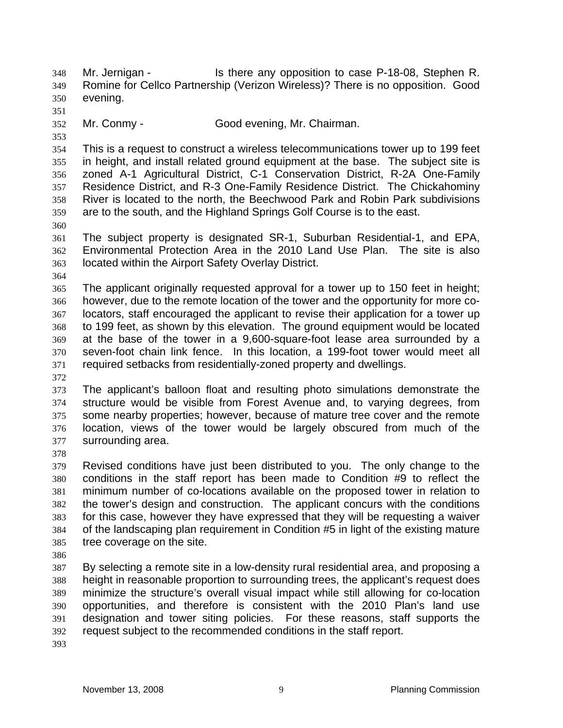Mr. Jernigan - The Is there any opposition to case P-18-08, Stephen R. Romine for Cellco Partnership (Verizon Wireless)? There is no opposition. Good evening. 348 349 350 351 352 353 354 355 356 357 358 359 360 361 362 363 364 365 366 367 368 369 370 371 372 373 374 375 376 377 378 379 380 381 382 383 384 385 386 387 388 389 390 391 392 393 Mr. Conmy - Good evening, Mr. Chairman. This is a request to construct a wireless telecommunications tower up to 199 feet in height, and install related ground equipment at the base. The subject site is zoned A-1 Agricultural District, C-1 Conservation District, R-2A One-Family Residence District, and R-3 One-Family Residence District. The Chickahominy River is located to the north, the Beechwood Park and Robin Park subdivisions are to the south, and the Highland Springs Golf Course is to the east. The subject property is designated SR-1, Suburban Residential-1, and EPA, Environmental Protection Area in the 2010 Land Use Plan. The site is also located within the Airport Safety Overlay District. The applicant originally requested approval for a tower up to 150 feet in height; however, due to the remote location of the tower and the opportunity for more colocators, staff encouraged the applicant to revise their application for a tower up to 199 feet, as shown by this elevation. The ground equipment would be located at the base of the tower in a 9,600-square-foot lease area surrounded by a seven-foot chain link fence. In this location, a 199-foot tower would meet all required setbacks from residentially-zoned property and dwellings. The applicant's balloon float and resulting photo simulations demonstrate the structure would be visible from Forest Avenue and, to varying degrees, from some nearby properties; however, because of mature tree cover and the remote location, views of the tower would be largely obscured from much of the surrounding area. Revised conditions have just been distributed to you. The only change to the conditions in the staff report has been made to Condition #9 to reflect the minimum number of co-locations available on the proposed tower in relation to the tower's design and construction. The applicant concurs with the conditions for this case, however they have expressed that they will be requesting a waiver of the landscaping plan requirement in Condition #5 in light of the existing mature tree coverage on the site. By selecting a remote site in a low-density rural residential area, and proposing a height in reasonable proportion to surrounding trees, the applicant's request does minimize the structure's overall visual impact while still allowing for co-location opportunities, and therefore is consistent with the 2010 Plan's land use designation and tower siting policies. For these reasons, staff supports the request subject to the recommended conditions in the staff report.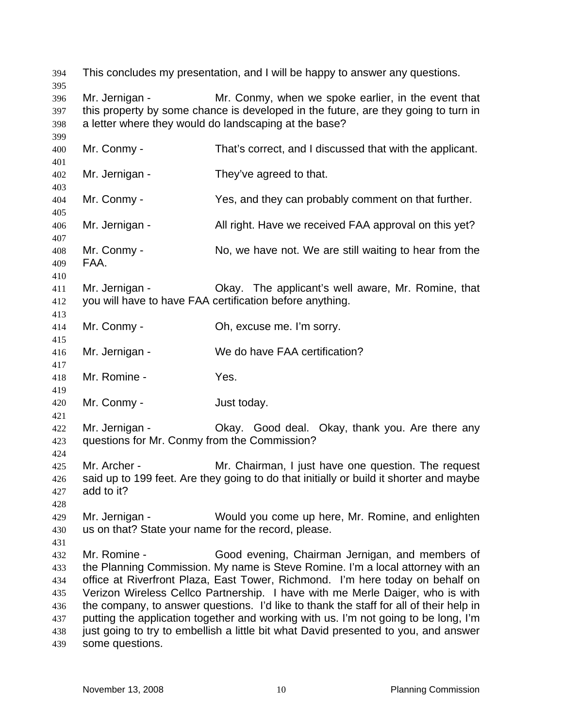394 This concludes my presentation, and I will be happy to answer any questions. 395 396 397 398 399 400 401 402 403 404 405 406 407 408 409 410 411 412 413 414 415 416 417 418 419 420 421 422 423 424 425 426 427 428 429 430 431 432 433 434 435 436 437 438 439 Mr. Jernigan - Mr. Conmy, when we spoke earlier, in the event that this property by some chance is developed in the future, are they going to turn in a letter where they would do landscaping at the base? Mr. Conmy - That's correct, and I discussed that with the applicant. Mr. Jernigan - They've agreed to that. Mr. Conmy - The Yes, and they can probably comment on that further. Mr. Jernigan - All right. Have we received FAA approval on this yet? Mr. Conmy - No, we have not. We are still waiting to hear from the FAA. Mr. Jernigan - Okay. The applicant's well aware, Mr. Romine, that you will have to have FAA certification before anything. Mr. Conmy - Ch, excuse me. I'm sorry. Mr. Jernigan - We do have FAA certification? Mr. Romine - Yes. Mr. Conmy - Just today. Mr. Jernigan - Ckay. Good deal. Okay, thank you. Are there any questions for Mr. Conmy from the Commission? Mr. Archer - Mr. Chairman, I just have one question. The request said up to 199 feet. Are they going to do that initially or build it shorter and maybe add to it? Mr. Jernigan - Would you come up here, Mr. Romine, and enlighten us on that? State your name for the record, please. Mr. Romine - Good evening, Chairman Jernigan, and members of the Planning Commission. My name is Steve Romine. I'm a local attorney with an office at Riverfront Plaza, East Tower, Richmond. I'm here today on behalf on Verizon Wireless Cellco Partnership. I have with me Merle Daiger, who is with the company, to answer questions. I'd like to thank the staff for all of their help in putting the application together and working with us. I'm not going to be long, I'm just going to try to embellish a little bit what David presented to you, and answer some questions.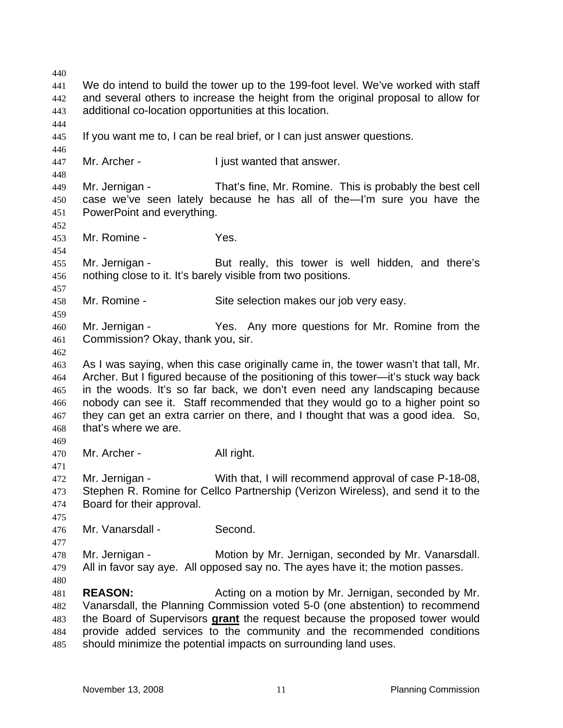440 441 442 443 444 445 446 447 448 449 450 451 452 453 454 455 456 457 458 459 460 461 462 463 464 465 466 467 468 469 470 471 472 473 474 475 476 477 478 479 480 481 482 We do intend to build the tower up to the 199-foot level. We've worked with staff and several others to increase the height from the original proposal to allow for additional co-location opportunities at this location. If you want me to, I can be real brief, or I can just answer questions. Mr. Archer - The I just wanted that answer. Mr. Jernigan - That's fine, Mr. Romine. This is probably the best cell case we've seen lately because he has all of the—I'm sure you have the PowerPoint and everything. Mr. Romine - Yes. Mr. Jernigan - But really, this tower is well hidden, and there's nothing close to it. It's barely visible from two positions. Mr. Romine - Site selection makes our job very easy. Mr. Jernigan - Yes. Any more questions for Mr. Romine from the Commission? Okay, thank you, sir. As I was saying, when this case originally came in, the tower wasn't that tall, Mr. Archer. But I figured because of the positioning of this tower—it's stuck way back in the woods. It's so far back, we don't even need any landscaping because nobody can see it. Staff recommended that they would go to a higher point so they can get an extra carrier on there, and I thought that was a good idea. So, that's where we are. Mr. Archer - All right. Mr. Jernigan - With that, I will recommend approval of case P-18-08, Stephen R. Romine for Cellco Partnership (Verizon Wireless), and send it to the Board for their approval. Mr. Vanarsdall - Second. Mr. Jernigan - Motion by Mr. Jernigan, seconded by Mr. Vanarsdall. All in favor say aye. All opposed say no. The ayes have it; the motion passes. **REASON: Acting on a motion by Mr. Jernigan, seconded by Mr.** Vanarsdall, the Planning Commission voted 5-0 (one abstention) to recommend the Board of Supervisors **grant** the request because the proposed tower would provide added services to the community and the recommended conditions should minimize the potential impacts on surrounding land uses. 483 484 485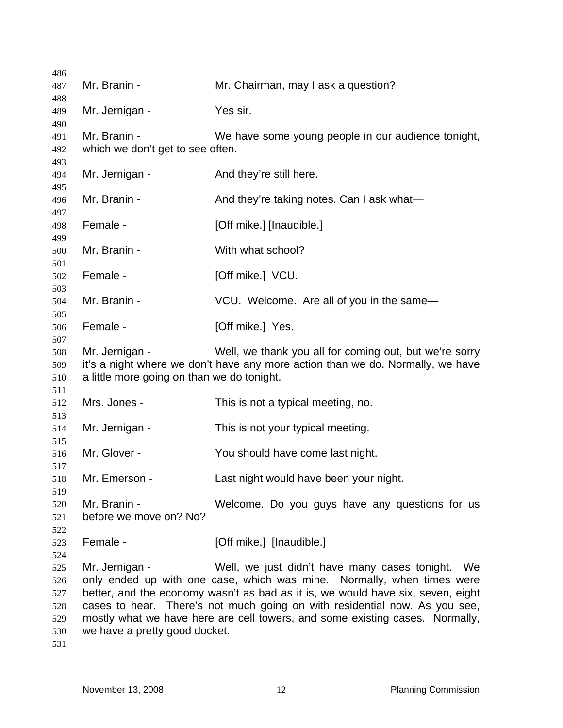| 486        |                                                                                 |                                                                                |  |
|------------|---------------------------------------------------------------------------------|--------------------------------------------------------------------------------|--|
| 487        | Mr. Branin -                                                                    | Mr. Chairman, may I ask a question?                                            |  |
| 488        |                                                                                 |                                                                                |  |
| 489        | Mr. Jernigan -                                                                  | Yes sir.                                                                       |  |
| 490        | Mr. Branin -                                                                    |                                                                                |  |
| 491        |                                                                                 | We have some young people in our audience tonight,                             |  |
| 492<br>493 | which we don't get to see often.                                                |                                                                                |  |
| 494        | Mr. Jernigan -                                                                  | And they're still here.                                                        |  |
| 495        |                                                                                 |                                                                                |  |
| 496        | Mr. Branin -                                                                    | And they're taking notes. Can I ask what—                                      |  |
| 497        |                                                                                 |                                                                                |  |
| 498        | Female -                                                                        | [Off mike.] [Inaudible.]                                                       |  |
| 499        |                                                                                 |                                                                                |  |
| 500        | Mr. Branin -                                                                    | With what school?                                                              |  |
| 501<br>502 | Female -                                                                        | [Off mike.] VCU.                                                               |  |
| 503        |                                                                                 |                                                                                |  |
| 504        | Mr. Branin -                                                                    | VCU. Welcome. Are all of you in the same-                                      |  |
| 505        |                                                                                 |                                                                                |  |
| 506        | Female -                                                                        | [Off mike.] Yes.                                                               |  |
| 507        |                                                                                 |                                                                                |  |
| 508        | Mr. Jernigan -                                                                  | Well, we thank you all for coming out, but we're sorry                         |  |
| 509        |                                                                                 | it's a night where we don't have any more action than we do. Normally, we have |  |
| 510        | a little more going on than we do tonight.                                      |                                                                                |  |
| 511        |                                                                                 |                                                                                |  |
| 512        | Mrs. Jones -                                                                    | This is not a typical meeting, no.                                             |  |
| 513        |                                                                                 |                                                                                |  |
| 514        | Mr. Jernigan -                                                                  | This is not your typical meeting.                                              |  |
| 515<br>516 | Mr. Glover -                                                                    | You should have come last night.                                               |  |
| 517        |                                                                                 |                                                                                |  |
| 518        | Mr. Emerson -                                                                   | Last night would have been your night.                                         |  |
| 519        |                                                                                 |                                                                                |  |
| 520        | Mr. Branin -                                                                    | Welcome. Do you guys have any questions for us                                 |  |
| 521        | before we move on? No?                                                          |                                                                                |  |
| 522        |                                                                                 |                                                                                |  |
| 523        | Female -                                                                        | [Off mike.] [Inaudible.]                                                       |  |
| 524        |                                                                                 |                                                                                |  |
| 525        | Mr. Jernigan -                                                                  | Well, we just didn't have many cases tonight. We                               |  |
| 526        | only ended up with one case, which was mine. Normally, when times were          |                                                                                |  |
| 527        | better, and the economy wasn't as bad as it is, we would have six, seven, eight |                                                                                |  |
| 528        | cases to hear. There's not much going on with residential now. As you see,      |                                                                                |  |
| 529        | mostly what we have here are cell towers, and some existing cases. Normally,    |                                                                                |  |
| 530        | we have a pretty good docket.                                                   |                                                                                |  |
| 531        |                                                                                 |                                                                                |  |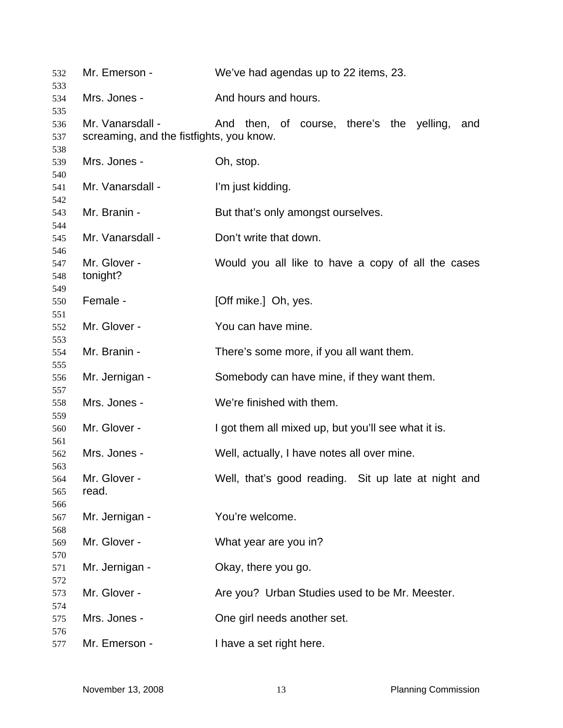| 532               | Mr. Emerson -                                                | We've had agendas up to 22 items, 23.               |
|-------------------|--------------------------------------------------------------|-----------------------------------------------------|
| 533<br>534        | Mrs. Jones -                                                 | And hours and hours.                                |
| 535<br>536<br>537 | Mr. Vanarsdall -<br>screaming, and the fistfights, you know. | And then, of course, there's the yelling,<br>and    |
| 538<br>539        | Mrs. Jones -                                                 | Oh, stop.                                           |
| 540<br>541<br>542 | Mr. Vanarsdall -                                             | I'm just kidding.                                   |
| 543<br>544        | Mr. Branin -                                                 | But that's only amongst ourselves.                  |
| 545<br>546        | Mr. Vanarsdall -                                             | Don't write that down.                              |
| 547<br>548<br>549 | Mr. Glover -<br>tonight?                                     | Would you all like to have a copy of all the cases  |
| 550<br>551        | Female -                                                     | [Off mike.] Oh, yes.                                |
| 552<br>553        | Mr. Glover -                                                 | You can have mine.                                  |
| 554<br>555        | Mr. Branin -                                                 | There's some more, if you all want them.            |
| 556<br>557        | Mr. Jernigan -                                               | Somebody can have mine, if they want them.          |
| 558<br>559        | Mrs. Jones -                                                 | We're finished with them.                           |
| 560<br>561        | Mr. Glover -                                                 | I got them all mixed up, but you'll see what it is. |
| 562<br>563        | Mrs. Jones -                                                 | Well, actually, I have notes all over mine.         |
| 564<br>565<br>566 | Mr. Glover -<br>read.                                        | Well, that's good reading. Sit up late at night and |
| 567<br>568        | Mr. Jernigan -                                               | You're welcome.                                     |
| 569<br>570        | Mr. Glover -                                                 | What year are you in?                               |
| 571<br>572        | Mr. Jernigan -                                               | Okay, there you go.                                 |
| 573<br>574        | Mr. Glover -                                                 | Are you? Urban Studies used to be Mr. Meester.      |
| 575<br>576        | Mrs. Jones -                                                 | One girl needs another set.                         |
| 577               | Mr. Emerson -                                                | I have a set right here.                            |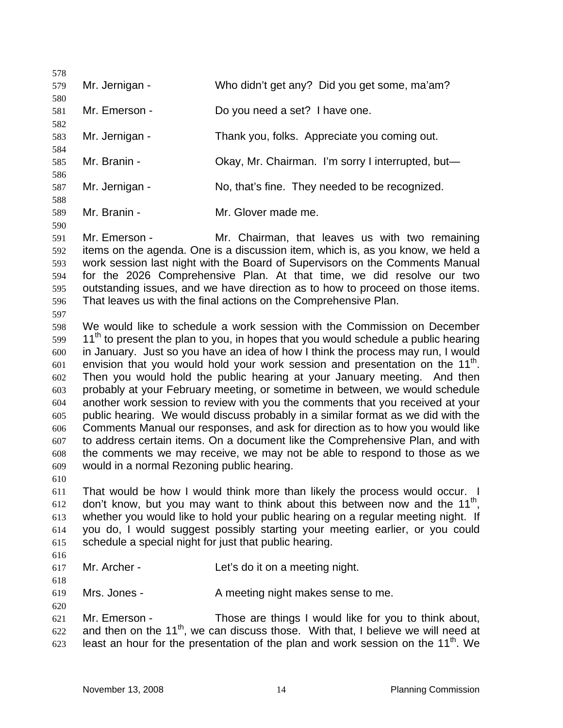578 579 580 581 582 583 584 585 586 587 588 589 590 591 592 593 594 595 596 597 598 599 600 601 602 603 604 605 606 607 608 609 610 611 612 613 614 615 616 617 618 619 620 621 622 623 Mr. Jernigan - Who didn't get any? Did you get some, ma'am? Mr. Emerson - Do you need a set? I have one. Mr. Jernigan - Thank you, folks. Appreciate you coming out. Mr. Branin - Chay, Mr. Chairman. I'm sorry I interrupted, but— Mr. Jernigan - No, that's fine. They needed to be recognized. Mr. Branin - **Mr. Glover made me.** Mr. Emerson - The Mr. Chairman, that leaves us with two remaining items on the agenda. One is a discussion item, which is, as you know, we held a work session last night with the Board of Supervisors on the Comments Manual for the 2026 Comprehensive Plan. At that time, we did resolve our two outstanding issues, and we have direction as to how to proceed on those items. That leaves us with the final actions on the Comprehensive Plan. We would like to schedule a work session with the Commission on December  $11<sup>th</sup>$  to present the plan to you, in hopes that you would schedule a public hearing in January. Just so you have an idea of how I think the process may run, I would envision that you would hold your work session and presentation on the  $11<sup>th</sup>$ . Then you would hold the public hearing at your January meeting. And then probably at your February meeting, or sometime in between, we would schedule another work session to review with you the comments that you received at your public hearing. We would discuss probably in a similar format as we did with the Comments Manual our responses, and ask for direction as to how you would like to address certain items. On a document like the Comprehensive Plan, and with the comments we may receive, we may not be able to respond to those as we would in a normal Rezoning public hearing. That would be how I would think more than likely the process would occur. I don't know, but you may want to think about this between now and the  $11<sup>th</sup>$ . whether you would like to hold your public hearing on a regular meeting night. If you do, I would suggest possibly starting your meeting earlier, or you could schedule a special night for just that public hearing. Mr. Archer - Let's do it on a meeting night. Mrs. Jones - A meeting night makes sense to me. Mr. Emerson - Those are things I would like for you to think about. and then on the 11<sup>th</sup>, we can discuss those. With that, I believe we will need at least an hour for the presentation of the plan and work session on the  $11<sup>th</sup>$ . We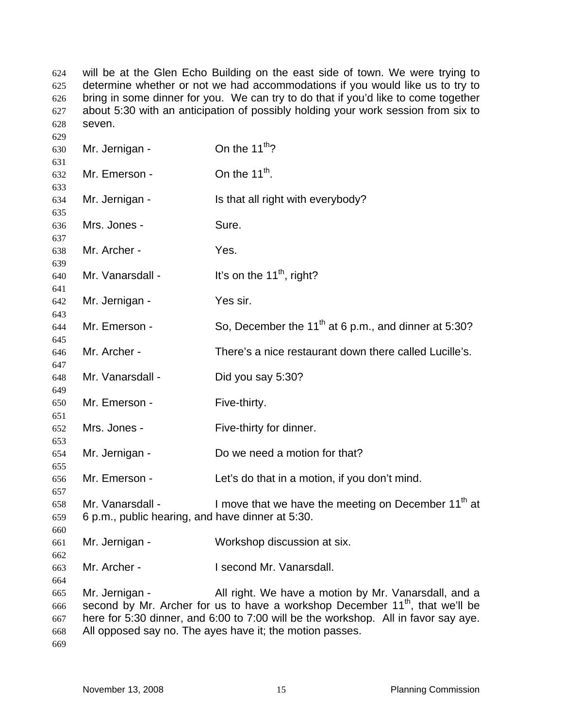will be at the Glen Echo Building on the east side of town. We were trying to determine whether or not we had accommodations if you would like us to try to bring in some dinner for you. We can try to do that if you'd like to come together about 5:30 with an anticipation of possibly holding your work session from six to seven. 

| 629                             |                                                                      |                                                                                                                                                                                                                                                                                                    |
|---------------------------------|----------------------------------------------------------------------|----------------------------------------------------------------------------------------------------------------------------------------------------------------------------------------------------------------------------------------------------------------------------------------------------|
| 630                             | Mr. Jernigan -                                                       | On the 11 <sup>th</sup> ?                                                                                                                                                                                                                                                                          |
| 631<br>632                      | Mr. Emerson -                                                        | On the $11^{th}$ .                                                                                                                                                                                                                                                                                 |
| 633<br>634<br>635               | Mr. Jernigan -                                                       | Is that all right with everybody?                                                                                                                                                                                                                                                                  |
| 636<br>637                      | Mrs. Jones -                                                         | Sure.                                                                                                                                                                                                                                                                                              |
| 638<br>639                      | Mr. Archer -                                                         | Yes.                                                                                                                                                                                                                                                                                               |
| 640<br>641                      | Mr. Vanarsdall -                                                     | It's on the $11th$ , right?                                                                                                                                                                                                                                                                        |
| 642<br>643                      | Mr. Jernigan -                                                       | Yes sir.                                                                                                                                                                                                                                                                                           |
| 644<br>645                      | Mr. Emerson -                                                        | So, December the 11 <sup>th</sup> at 6 p.m., and dinner at 5:30?                                                                                                                                                                                                                                   |
| 646<br>647                      | Mr. Archer -                                                         | There's a nice restaurant down there called Lucille's.                                                                                                                                                                                                                                             |
| 648<br>649                      | Mr. Vanarsdall -                                                     | Did you say 5:30?                                                                                                                                                                                                                                                                                  |
| 650<br>651                      | Mr. Emerson -                                                        | Five-thirty.                                                                                                                                                                                                                                                                                       |
| 652<br>653                      | Mrs. Jones -                                                         | Five-thirty for dinner.                                                                                                                                                                                                                                                                            |
| 654<br>655                      | Mr. Jernigan -                                                       | Do we need a motion for that?                                                                                                                                                                                                                                                                      |
| 656<br>657                      | Mr. Emerson -                                                        | Let's do that in a motion, if you don't mind.                                                                                                                                                                                                                                                      |
| 658<br>659<br>660               | Mr. Vanarsdall -<br>6 p.m., public hearing, and have dinner at 5:30. | I move that we have the meeting on December 11 <sup>th</sup> at                                                                                                                                                                                                                                    |
| 661<br>662                      | Mr. Jernigan -                                                       | Workshop discussion at six.                                                                                                                                                                                                                                                                        |
| 663<br>664                      | Mr. Archer -                                                         | I second Mr. Vanarsdall.                                                                                                                                                                                                                                                                           |
| 665<br>666<br>667<br>668<br>669 | Mr. Jernigan -                                                       | All right. We have a motion by Mr. Vanarsdall, and a<br>second by Mr. Archer for us to have a workshop December 11 <sup>th</sup> , that we'll be<br>here for 5:30 dinner, and 6:00 to 7:00 will be the workshop. All in favor say aye.<br>All opposed say no. The ayes have it; the motion passes. |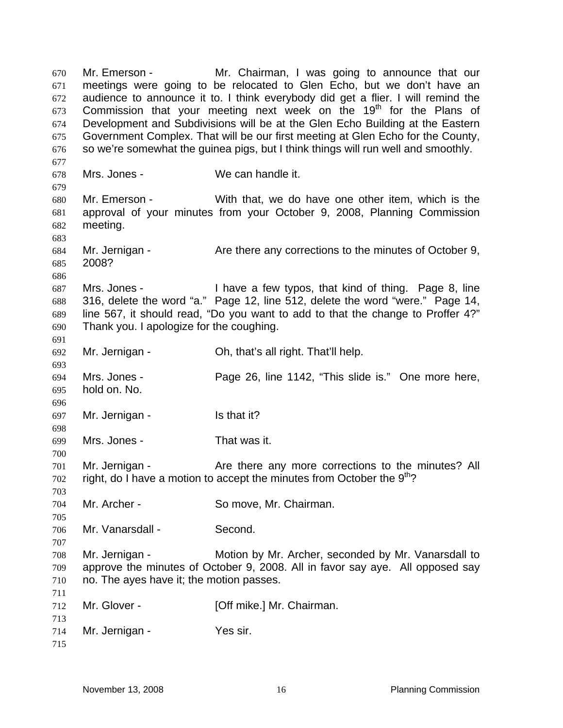Mr. Emerson - Mr. Chairman, I was going to announce that our meetings were going to be relocated to Glen Echo, but we don't have an audience to announce it to. I think everybody did get a flier. I will remind the Commission that your meeting next week on the  $19<sup>th</sup>$  for the Plans of Development and Subdivisions will be at the Glen Echo Building at the Eastern Government Complex. That will be our first meeting at Glen Echo for the County, so we're somewhat the guinea pigs, but I think things will run well and smoothly. 670 671 672 673 674 675 676 677 678 679 680 681 682 683 684 685 686 687 688 689 690 691 692 693 694 695 696 697 698 699 700 701 702 703 704 705 706 707 708 709 710 711 712 713 714 715 Mrs. Jones - We can handle it. Mr. Emerson - With that, we do have one other item, which is the approval of your minutes from your October 9, 2008, Planning Commission meeting. Mr. Jernigan - The Are there any corrections to the minutes of October 9, 2008? Mrs. Jones - Thave a few typos, that kind of thing. Page 8, line 316, delete the word "a." Page 12, line 512, delete the word "were." Page 14, line 567, it should read, "Do you want to add to that the change to Proffer 4?" Thank you. I apologize for the coughing. Mr. Jernigan - Ch, that's all right. That'll help. Mrs. Jones - Page 26, line 1142, "This slide is." One more here, hold on. No. Mr. Jernigan - Is that it? Mrs. Jones - That was it. Mr. Jernigan - The Are there any more corrections to the minutes? All right, do I have a motion to accept the minutes from October the  $9<sup>th</sup>$ ? Mr. Archer - So move, Mr. Chairman. Mr. Vanarsdall - Second. Mr. Jernigan - Motion by Mr. Archer, seconded by Mr. Vanarsdall to approve the minutes of October 9, 2008. All in favor say aye. All opposed say no. The ayes have it; the motion passes. Mr. Glover - **[Off mike.] Mr. Chairman.** Mr. Jernigan - Yes sir.